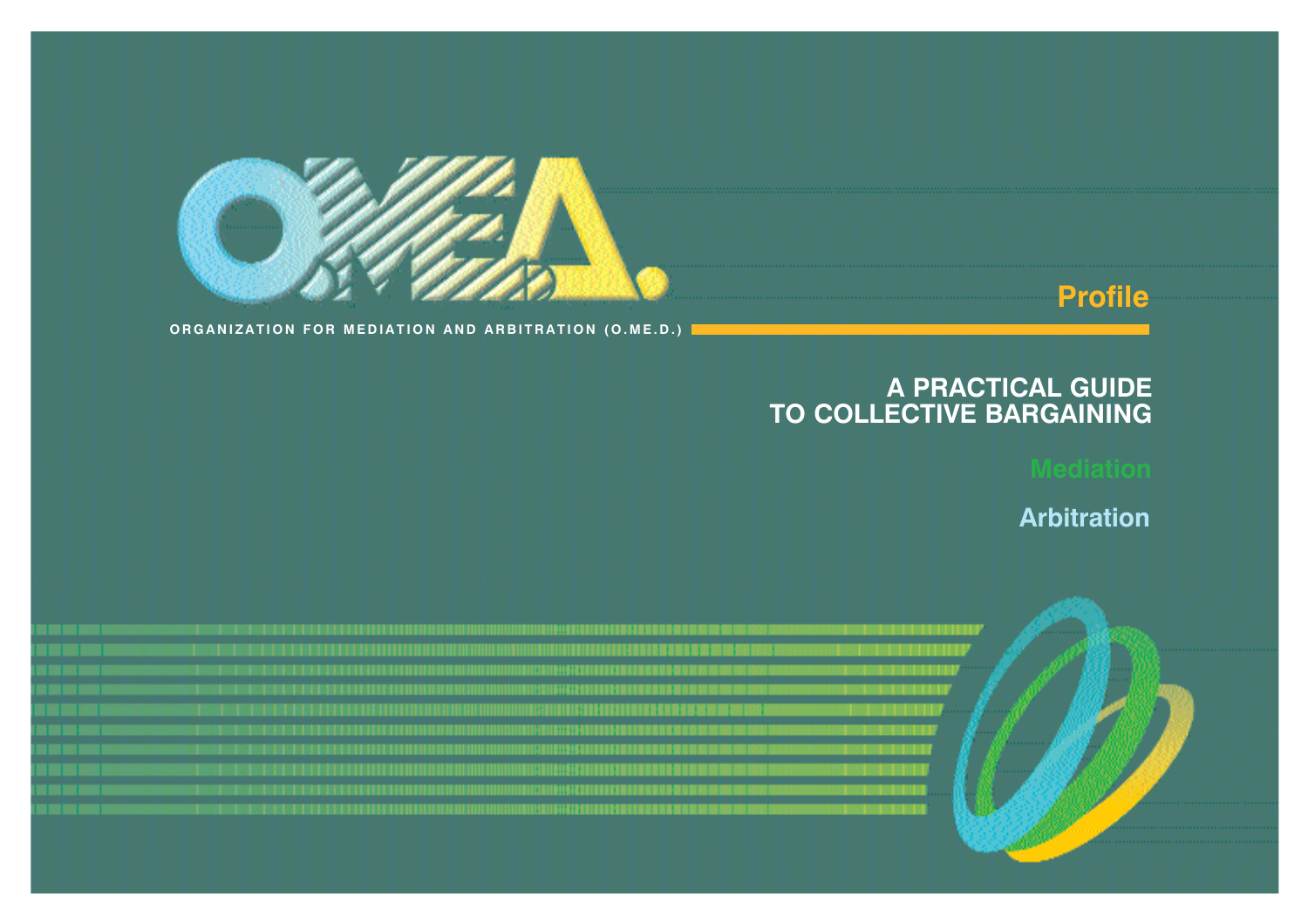

# **Profile**

**ORGANIZATION FOR MEDIATION AND ARBITRATION (O.ME.D.)**

# **A PRACTICAL GUIDE TO COLLECTIVE BARGAINING**

**Arbitration**

|  |  |  |                           |  |  |  |  |  |  |  |                   |                   |                                | . |  |
|--|--|--|---------------------------|--|--|--|--|--|--|--|-------------------|-------------------|--------------------------------|---|--|
|  |  |  |                           |  |  |  |  |  |  |  |                   |                   |                                |   |  |
|  |  |  | DI ODEI DI ON DI CARDI DI |  |  |  |  |  |  |  |                   | <b>CONTRACTOR</b> |                                |   |  |
|  |  |  |                           |  |  |  |  |  |  |  |                   |                   |                                |   |  |
|  |  |  |                           |  |  |  |  |  |  |  | <b>CONTRACTOR</b> | <b>STATISTICS</b> |                                |   |  |
|  |  |  |                           |  |  |  |  |  |  |  |                   | <b>CONTRACTOR</b> |                                |   |  |
|  |  |  |                           |  |  |  |  |  |  |  |                   |                   | .                              |   |  |
|  |  |  |                           |  |  |  |  |  |  |  |                   |                   | <b><i><u>Francisco</u></i></b> |   |  |
|  |  |  |                           |  |  |  |  |  |  |  |                   |                   |                                |   |  |
|  |  |  |                           |  |  |  |  |  |  |  |                   |                   |                                |   |  |
|  |  |  |                           |  |  |  |  |  |  |  |                   |                   |                                |   |  |
|  |  |  |                           |  |  |  |  |  |  |  |                   |                   |                                |   |  |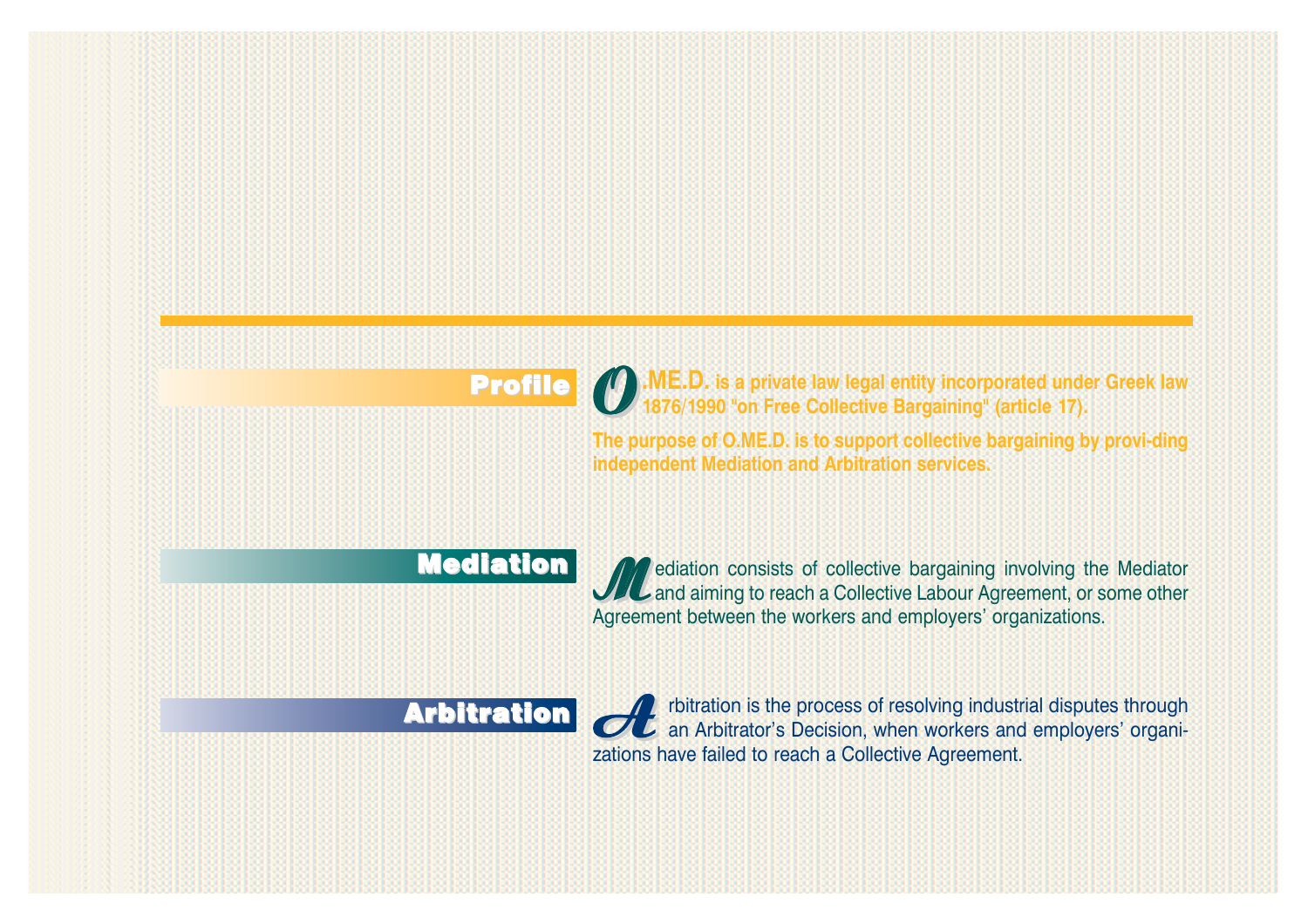**Profile O**.ME.D. is a private law legal entity incorporated under Greek law<br>
1876/1990 "on Free Collective Bargaining" (article 17).

**The purpose of O.ME.D. is to support collective bargaining by provi-ding independent Mediation and Arbitration services.** 

# **Mediation**

*M*ediation consists of collective bargaining involving the Mediator and aiming to reach a Collective Labour Agreement, or some other Agreement between the workers and employers' organizations.

# **Arbitration**

**A** rbitration is the process of resolving industrial disputes through an Arbitrator's Decision, when workers and employers' organizations have failed to reach a Collective Agreement.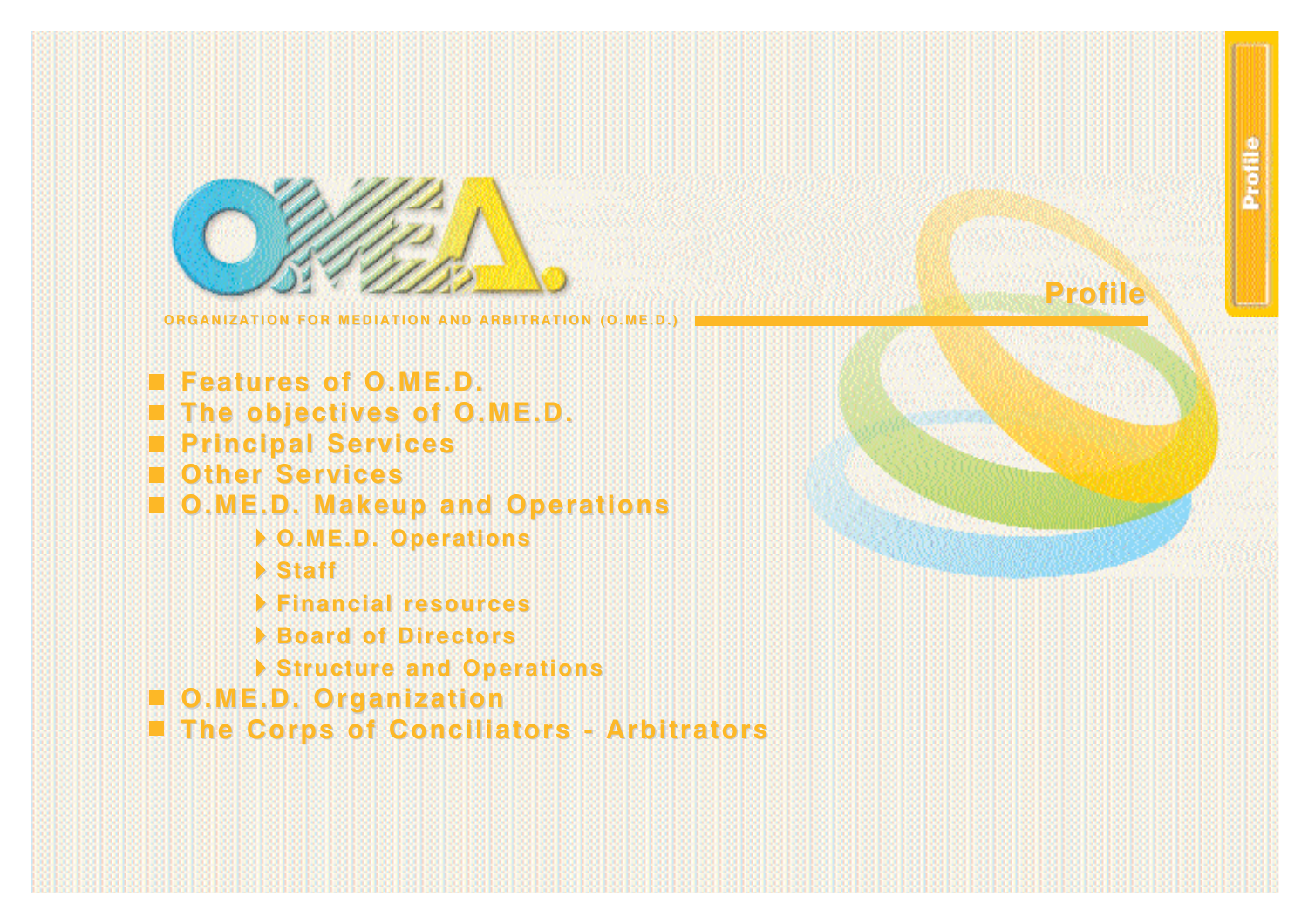

**Features of O.ME.D. Features of O.ME.D. The objectives of O.ME.D. The objectives of O.ME.D. Principal Services Principal Services Other Services Other Services O.ME.D. Makeup and Operations O.ME.D. Makeup and Operations O.ME.D. Operations O.ME.D. Operations Staff Financial resources Financial resources Board of Directors Board of Directors Structure and Operations Structure and Operations O.ME.D. Organization O.ME.D. Organization The Corps of Conciliators - Arbitrators The Corps of Conciliators - Arbitrators**



**Profile Profile**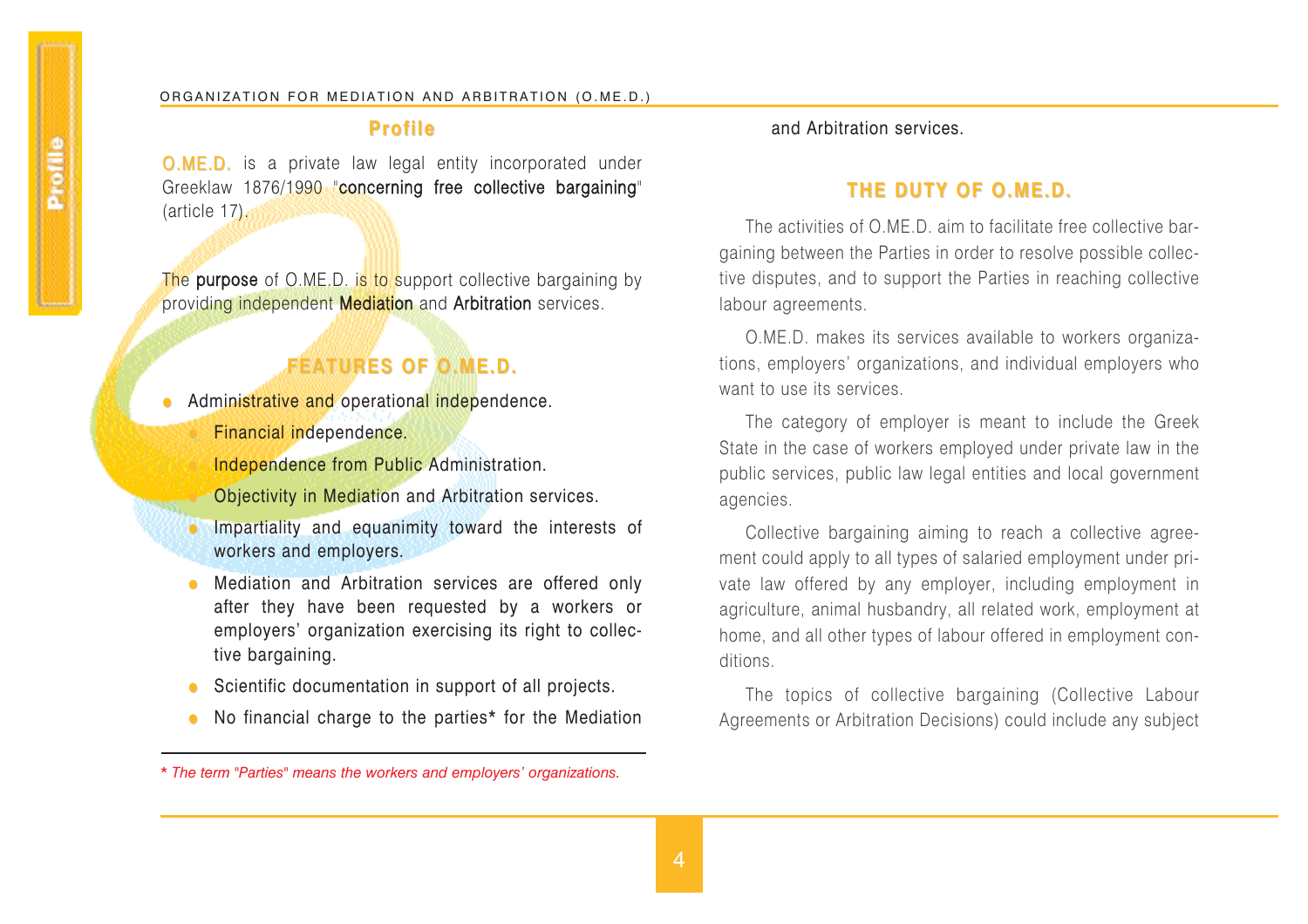# **Profile Profile**

O.M E.D. is a private law legal entity incorporated under Greeklaw 1876/1990 "concerning free collective bargaining" (article 17).

The purpose of O.ME.D. i<mark>s to</mark> support collective bargaining by providing independent **Mediation** and Arbitration services.

# **FEATURES OF O.ME.D. FEATURES OF O.ME.D.**

- Administrative and operational independence. Financial independence.
	- Independence from Public Administration.
	- Objectivity in Mediation and Arbitration services.
	- **J** Impartiality and equanimity toward the interests of workers and employers.
	- Mediation and Arbitration services are offered only after they have been requested by a workers or employers' organization exercising its right to collective bargaining.
	- Scientific documentation in support of all projects.
	- No financial charge to the parties\* for the Mediation

and Arbitration services.

# **THE DUTY OF O.ME.D. THE DUTY OF O.ME.D.**

The activities of O.ME.D. aim to facilitate free collective bargaining between the Parties in order to resolve possible collective disputes, and to support the Parties in reaching collective labour agreements.

O.ME.D. makes its services available to workers organizations, employers' organizations, and individual employers who want to use its services.

The category of employer is meant to include the Greek State in the case of workers employed under private law in the public services, public law legal entities and local government agencies.

Collective bargaining aiming to reach a collective agreement could apply to all types of salaried employment under private law offered by any employer, including employment in agriculture, animal husbandry, all related work, employment at home, and all other types of labour offered in employment conditions.

The topics of collective bargaining (Collective Labour Agreements or Arbitration Decisions) could include any subject

*<sup>\*</sup> The term "Parties" means the workers and employers' organizations.*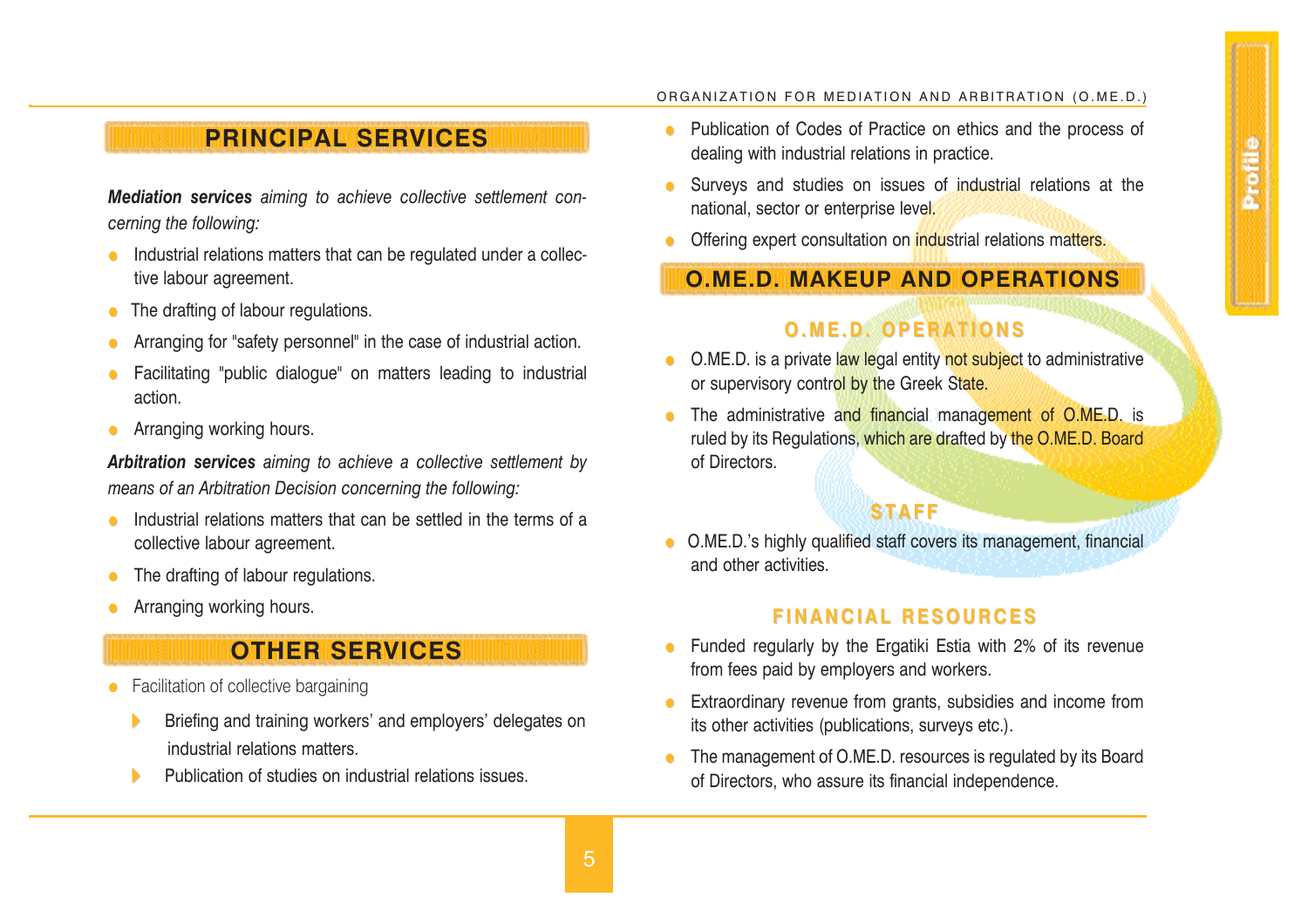# **PRINCIPAL SERVICES**

*Mediation services aiming to achieve collective settlement concerning the following:* 

- Industrial relations matters that can be regulated under a collective labour agreement.
- The drafting of labour regulations.
- Arranging for "safety personnel" in the case of industrial action.
- Facilitating "public dialogue" on matters leading to industrial action.
- Arranging working hours.

*Arbitration services aiming to achieve a collective settlement by means of an Arbitration Decision concerning the following:* 

- Industrial relations matters that can be settled in the terms of a collective labour agreement.
- $\bullet$  The drafting of labour regulations.
- Arranging working hours.

# **OTHER SERVICES**

- $\bullet$  Facilitation of collective bargaining
	- Briefing and training workers' and employers' delegates on industrial relations matters.
	- Publication of studies on industrial relations issues.

#### ORGANIZATION FOR MEDIATION AND ARBITRATION (O.ME.D.)

- Publication of Codes of Practice on ethics and the process of dealing with industrial relations in practice.
- Surveys and studies on issues of industrial relations at the national, sector or enterprise level.
- Offering expert consultation on industrial relations matters.

# **O.ME.D. MAKEUP AND OPERATIONS**

# **O.ME.D. OPERATIONS O.ME.D. OPERATIONS**

- O.ME.D. is a private law legal entity not subject to administrative or supervisory control by the Greek State.
- The administrative and financial management of O.ME.D. is ruled by its Regulations, which are drafted by the O.ME.D. Board of Directors.

# **STAFF**

**•** O.ME.D.'s highly qualified staff covers its management, financial and other activities.

# **FINANCIAL RESOURCES FINANCIAL RESOURCES**

- Funded regularly by the Ergatiki Estia with 2% of its revenue from fees paid by employers and workers.
- Extraordinary revenue from grants, subsidies and income from its other activities (publications, surveys etc.).
- The management of O.ME.D. resources is regulated by its Board of Directors, who assure its financial independence.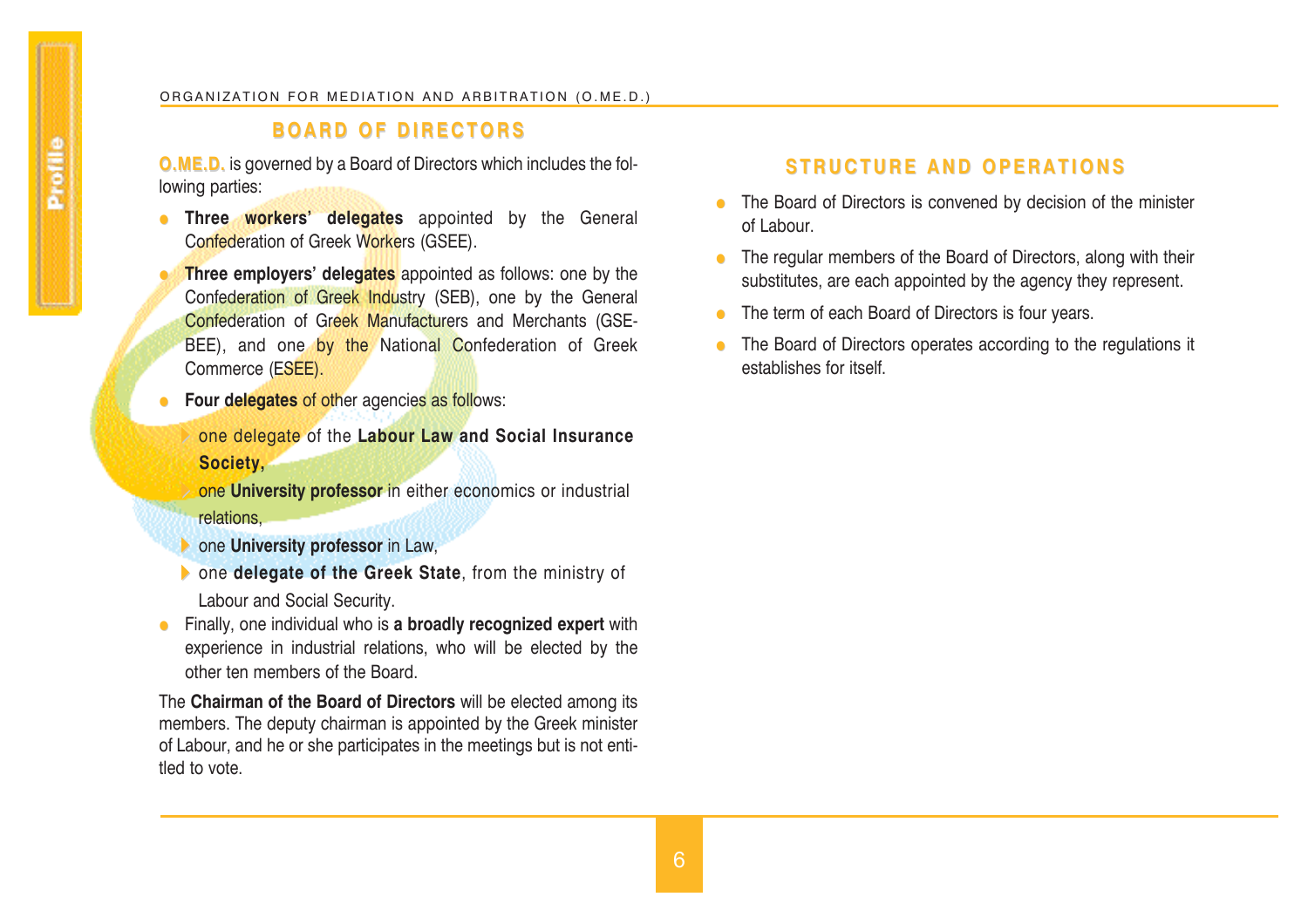# **BOARD OF DIRECTORS BOARD OF DIRECTORS**

**O.ME.D. O.ME.D.** is governed by a Board of Directors which includes the following parties:

- **Three workers' delegates** appointed by the General Confederation of Greek Workers (GSEE).
	- **Three employers' delegates** appointed as follows: one by the Confederation of Greek Industry (SEB), one by the General Confederation of Greek Manufacturers and Merchants (GSE-BEE), and one by the National Confederation of Greek Commerce (ESEE).
- **Four delegates** of other agencies as follows:
	- one delegate of the **Labour Law and Social Insurance Society,**
	- one **University professor** in either economics or industrial relations,
	- one **University professor** in Law,
- one **delegate of the Greek State**, from the ministry of Labour and Social Security.
- **•** Finally, one individual who is **a broadly recognized expert** with experience in industrial relations, who will be elected by the other ten members of the Board.

The **Chairman of the Board of Directors** will be elected among its members. The deputy chairman is appointed by the Greek minister of Labour, and he or she participates in the meetings but is not entitled to vote.

# **STRUCTURE AND OPERATIONS**

- The Board of Directors is convened by decision of the minister of Labour.
- $\bullet$  The regular members of the Board of Directors, along with their substitutes, are each appointed by the agency they represent.
- $\bullet$  The term of each Board of Directors is four years.
- The Board of Directors operates according to the regulations it establishes for itself.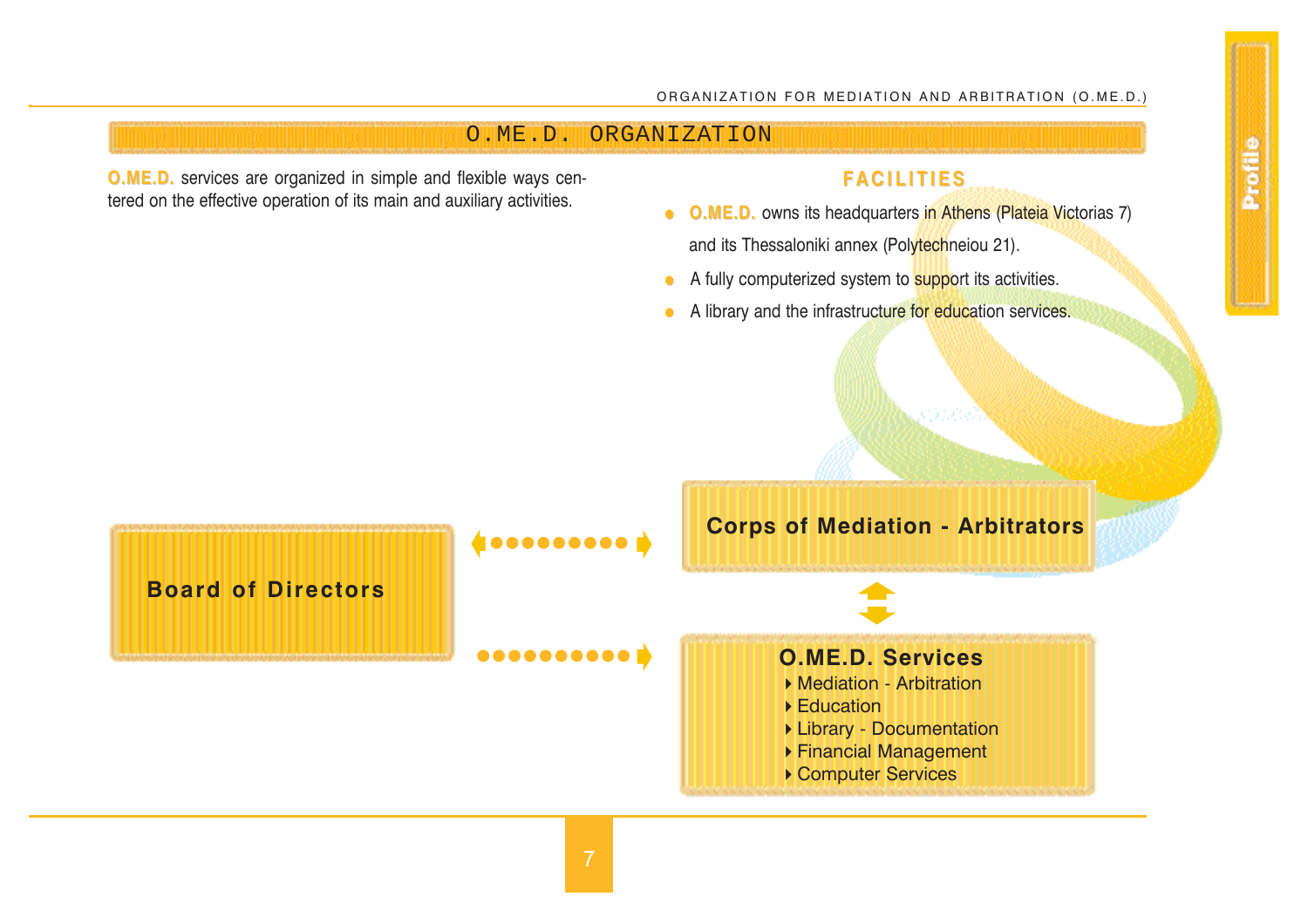# O.ME.D. ORGANIZATION

**O.ME.D. O.ME.D.** services are organized in simple and flexible ways cen-**O.ME.D.** services are organized in simple and flexible ways cen-<br>**FACILITIES FACILITIES Example 19** its main and auxiliary activities.<br>**O.ME.D.** owns its headquarters in Athens (Plateia Victorias 7)

- and its Thessaloniki annex (Polytechneiou 21).
- A fully computerized system to **support its activities.**
- A library and the infrastructure for education services.

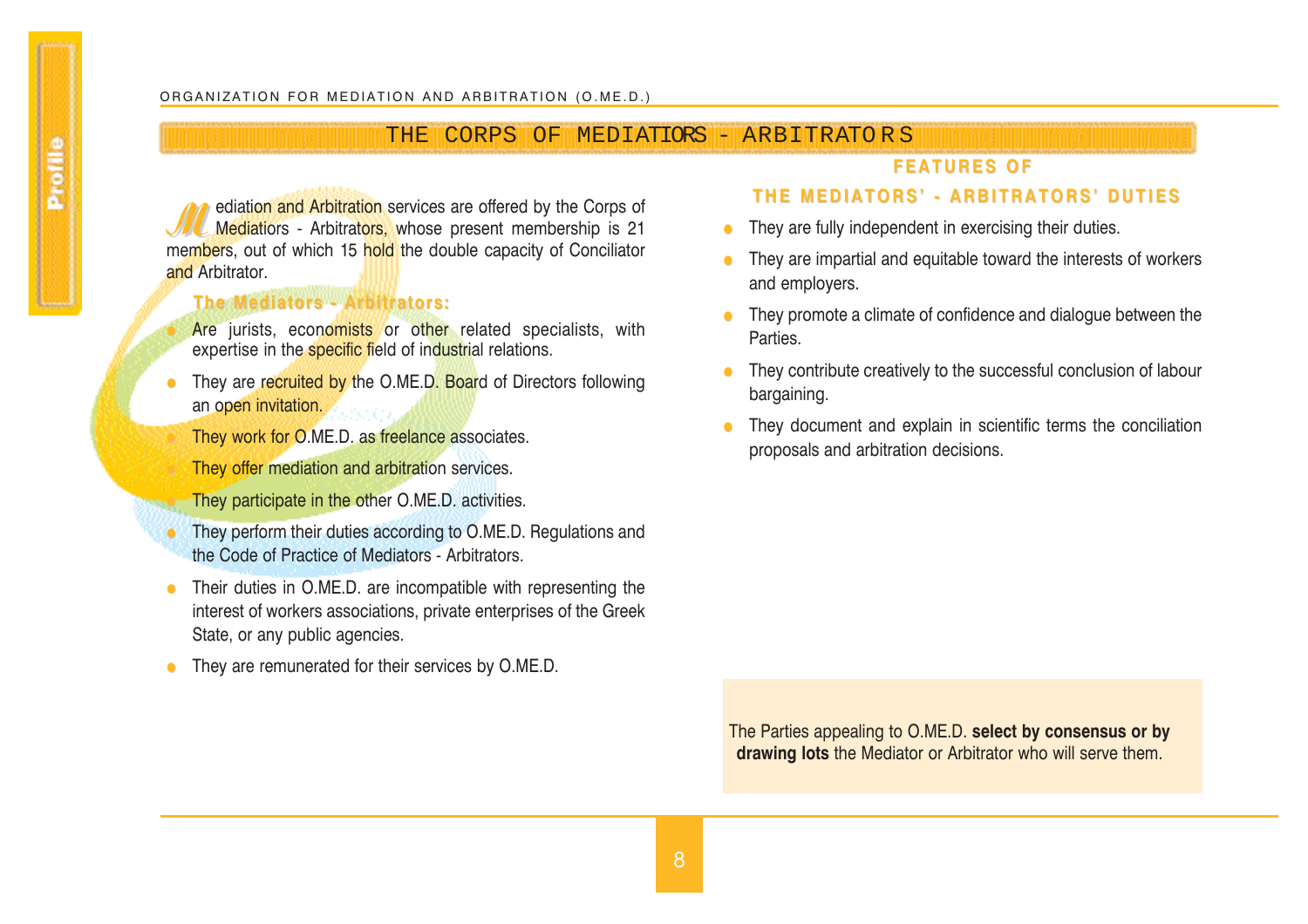# THE CORPS OF MEDIATIORS - ARBITRATO R S

# **FEATURES OF FEATURES OF**

**Mediation and Arbitration** services are offered by the Corps of Mediatiors - Arbitrators, whose present membership is 21 members, out of which 15 hold the double capacity of Conciliator and Arbitrator.

# **The Mediators - Arbitrators: The Mediators - Arbitrators:**

Are jurists, economists or other related specialists, with expertise in the **specific field** of industrial relations.

- They are recruited by the O.ME.D. Board of Directors following an open invitation.
	- They work for O.ME.D. as freelance associates.
	- They offer mediation and arbitration services.
	- They participate in the other O.ME.D. activities.
- They perform their duties according to O.ME.D. Regulations and the Code of Practice of Mediators - Arbitrators.
- Their duties in O.ME.D. are incompatible with representing the interest of workers associations, private enterprises of the Greek State, or any public agencies.
- They are remunerated for their services by O.ME.D.

# **THE MEDIATORS' - ARBITRATORS' DUTIES**

- They are fully independent in exercising their duties.
- They are impartial and equitable toward the interests of workers and employers.
- They promote a climate of confidence and dialogue between the Parties.
- $\bullet$  They contribute creatively to the successful conclusion of labour bargaining.
- They document and explain in scientific terms the conciliation proposals and arbitration decisions.

The Parties appealing to O.ME.D. **select by consensus or by drawing lots** the Mediator or Arbitrator who will serve them.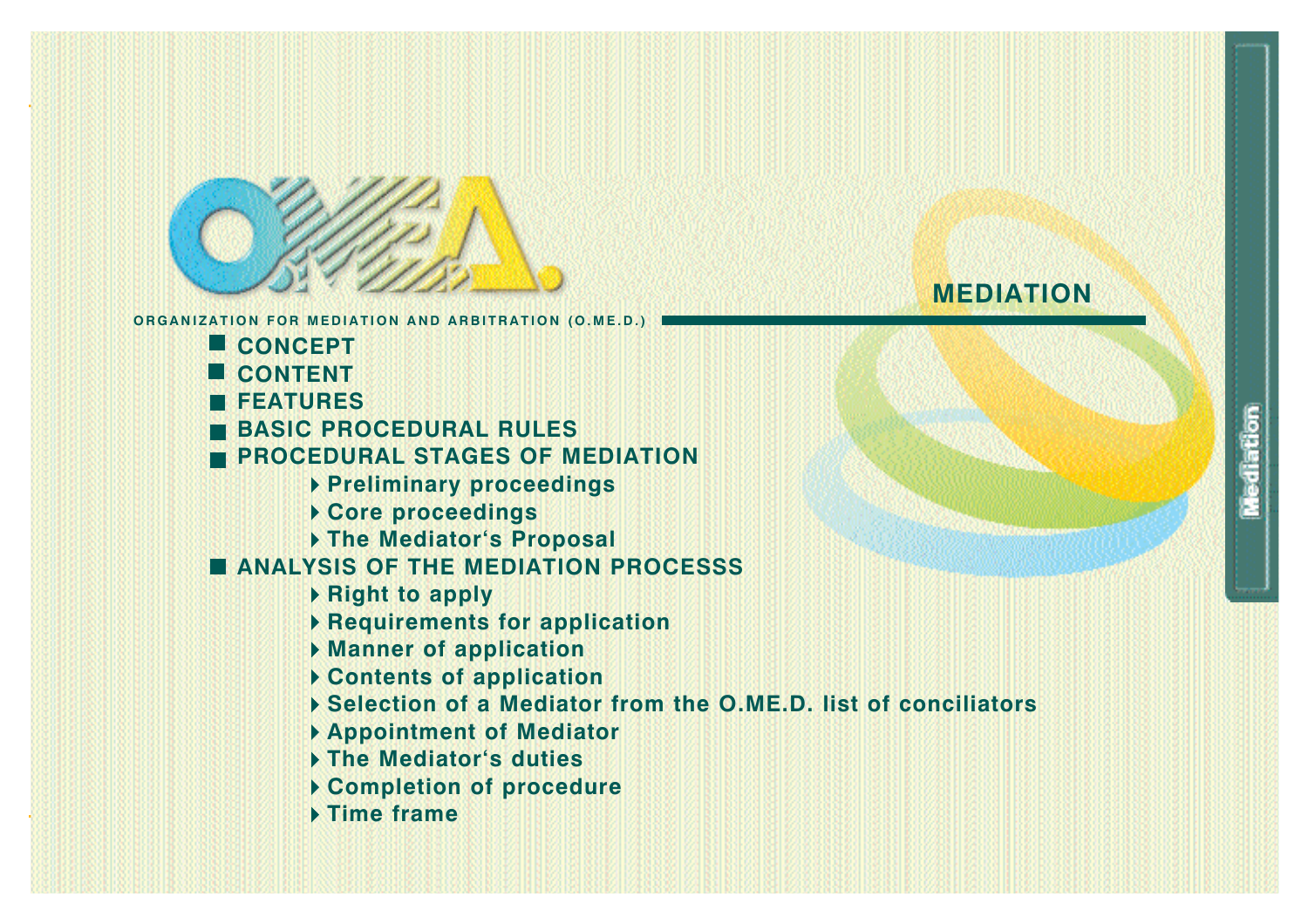

- **CONCEPT**
- **CONTENT**
- **FEATURES**
- **BASIC PROCEDURAL RULES**
- **PROCEDURAL STAGES OF MEDIATION** 
	- **Preliminary proceedings**
	- **Core proceedings**
	- **The Mediator`s Proposal**

# **ANALYSIS OF THE MEDIATION PROCESSS**

- **Right to apply**
- **Requirements for application**
- **Manner of application**
- **Contents of application**
- **Selection of a Mediator from the O.ME.D. list of conciliators**
- **Appointment of Mediator**
- **The Mediator`s duties**
- **Completion of procedure**
- **Time frame**

# **MEDIATION**

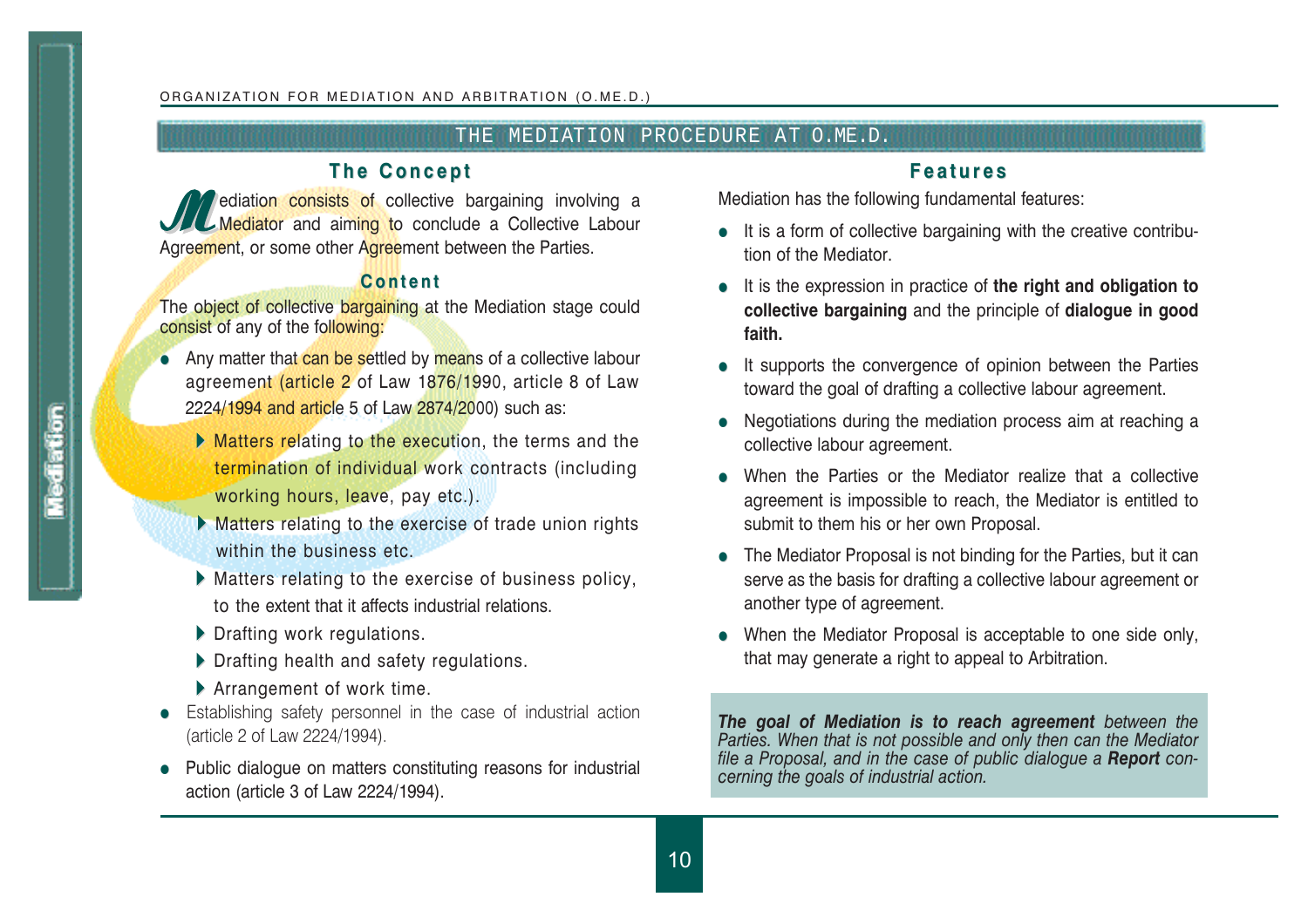# THE MEDIATION PROCEDURE AT O.ME.D.

# **The Concept The Concept**

*I* ediation consists of collective bargaining involving a Mediator and aiming to conclude a Collective Labour Agreement, or some other Agreement between the Parties.

# **Content Content**

The object of collective bargaining at the Mediation stage could consist of any of the following:

- Any matter that can be settled by means of a collective labour agreement (article 2 of Law 1876/1990, article 8 of Law 2224/1994 and article 5 of Law 2874/2000) such as:
	- Matters relating to the execution, the terms and the termination of individual work contracts (including working hours, leave, pay etc.).
	- **Matters relating to the exercise of trade union rights** within the business etc.
	- Matters relating to the exercise of business policy, to the extent that it affects industrial relations.
	- Drafting work regulations.
	- Drafting health and safety regulations.
	- Arrangement of work time.
- Establishing safety personnel in the case of industrial action (article 2 of Law 2224/1994).
- Public dialogue on matters constituting reasons for industrial action (article 3 of Law 2224/1994).

# **Features Features**

Mediation has the following fundamental features:

- $\bullet$  It is a form of collective bargaining with the creative contribution of the Mediator.
- **•** It is the expression in practice of the right and obligation to **collective bargaining** and the principle of **dialogue in good faith.**
- It supports the convergence of opinion between the Parties toward the goal of drafting a collective labour agreement.
- Negotiations during the mediation process aim at reaching a collective labour agreement.
- $\bullet$  When the Parties or the Mediator realize that a collective agreement is impossible to reach, the Mediator is entitled to submit to them his or her own Proposal.
- $\bullet$  The Mediator Proposal is not binding for the Parties, but it can serve as the basis for drafting a collective labour agreement or another type of agreement.
- $\bullet$  When the Mediator Proposal is acceptable to one side only, that may generate a right to appeal to Arbitration.

*The goal of Mediation is to reach agreement between the Parties. When that is not possible and only then can the Mediator file a Proposal, and in the case of public dialogue a Report concerning the goals of industrial action.*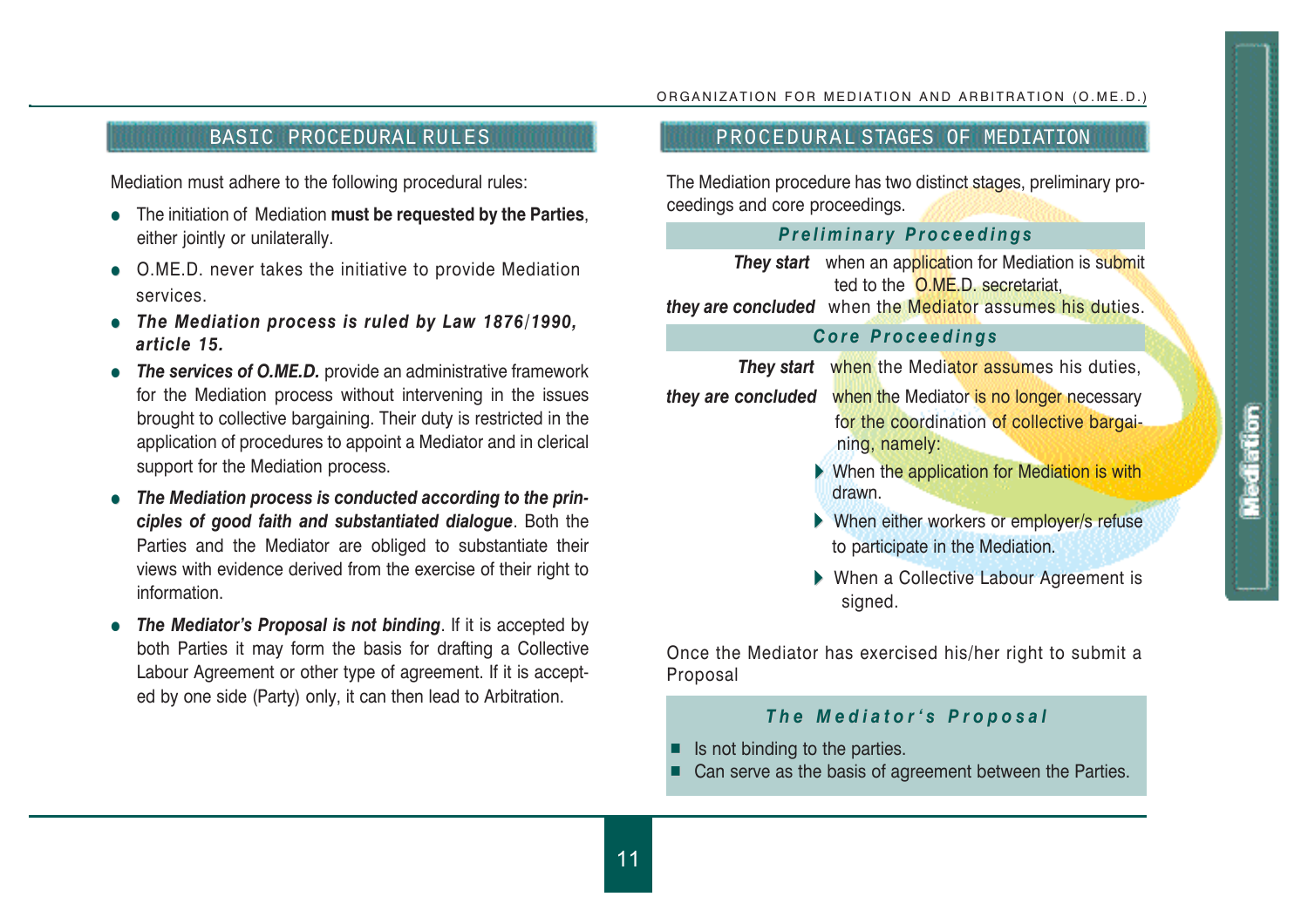### BASIC PROCEDURAL RULES **PROCEDURAL STAGES OF MEDIATION**

Mediation must adhere to the following procedural rules:

- **•** The initiation of Mediation **must be requested by the Parties**, either jointly or unilaterally.
- O.ME.D. never takes the initiative to provide Mediation services.
- The Mediation process is ruled by Law 1876/1990, *article 15.*
- **The services of O.ME.D.** provide an administrative framework for the Mediation process without intervening in the issues brought to collective bargaining. Their duty is restricted in the application of procedures to appoint a Mediator and in clerical support for the Mediation process.
- The Mediation process is conducted according to the prin*ciples of good faith and substantiated dialogue*. Both the Parties and the Mediator are obliged to substantiate their views with evidence derived from the exercise of their right to information.
- The Mediator's Proposal is not binding. If it is accepted by both Parties it may form the basis for drafting a Collective Labour Agreement or other type of agreement. If it is accepted by one side (Party) only, it can then lead to Arbitration.

# ORGANIZATION FOR MEDIATION AND ARBITRATION (O.ME.D.)

The Mediation procedure has two distinct stages, preliminary proceedings and core proceedings.

### *Preliminary Proceedings Preliminary Proceedings*

**They start** when an application for Mediation is submit ted to the O.ME.D. secretariat, *they are concluded* when the Mediator assumes his duties.

### *Core Proceedings Core Proceedings*

*They start* when the Mediator assumes his duties, *they are concluded* when the Mediator is no longer necessary for the coordination of collective bargaining, namely:

- When the application for Mediation is with drawn.
- When either workers or employer/s refuse to participate in the Mediation.
- When a Collective Labour Agreement is signed.

Once the Mediator has exercised his/her right to submit a Proposal

# *The Mediator`s Proposal The Mediator`s Proposal*

- J Is not binding to the parties.
- ┙ Can serve as the basis of agreement between the Parties.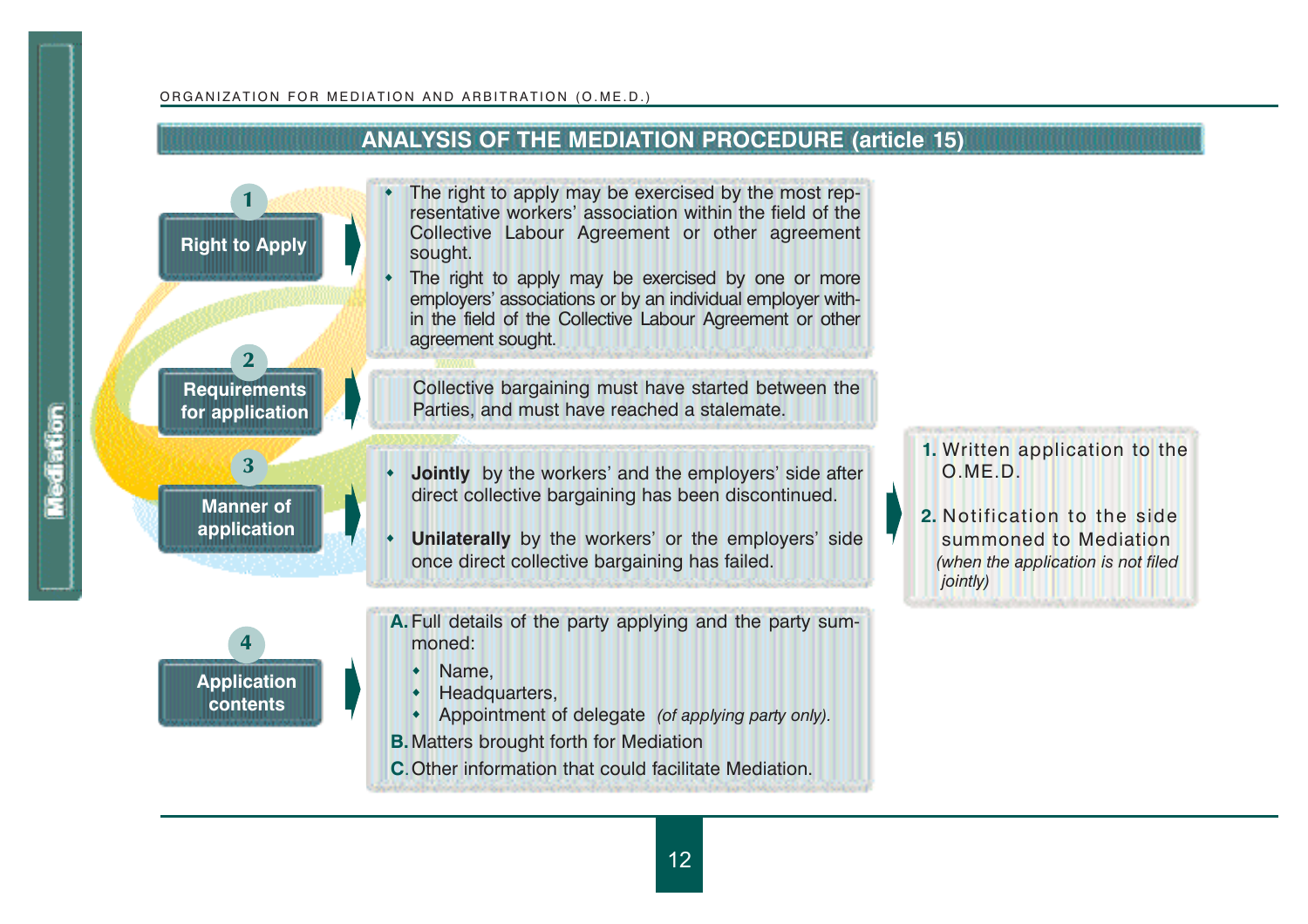Mediation

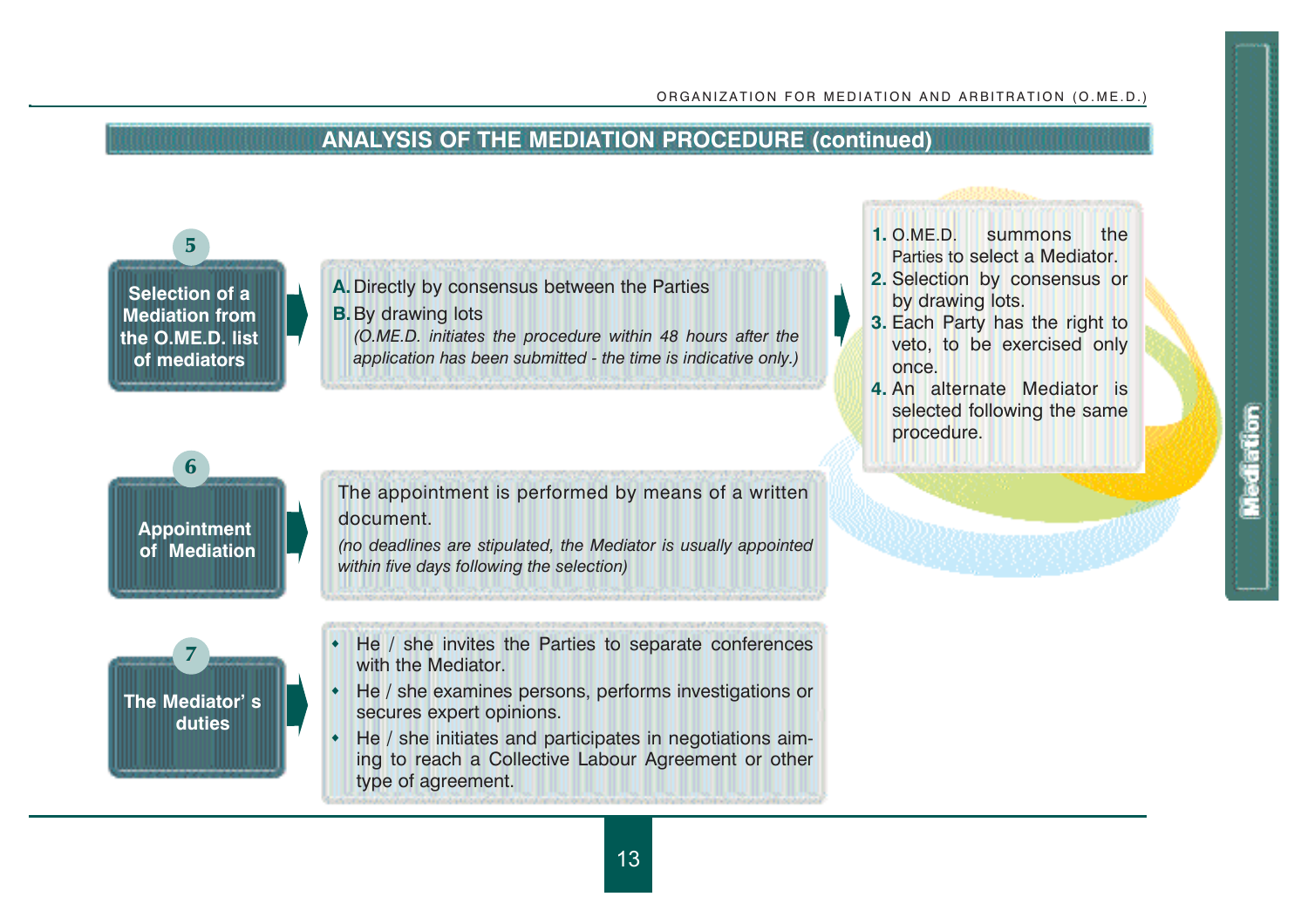

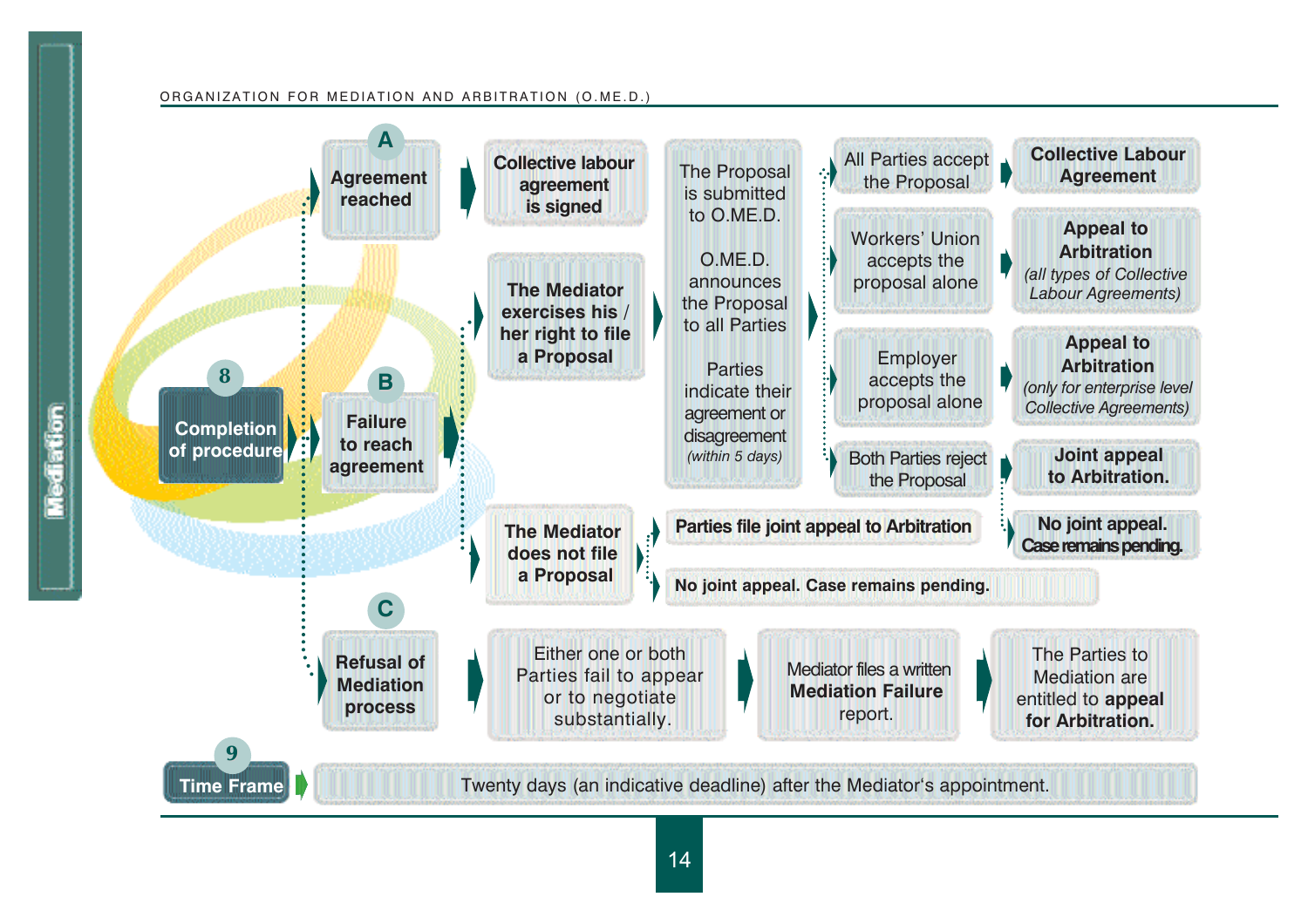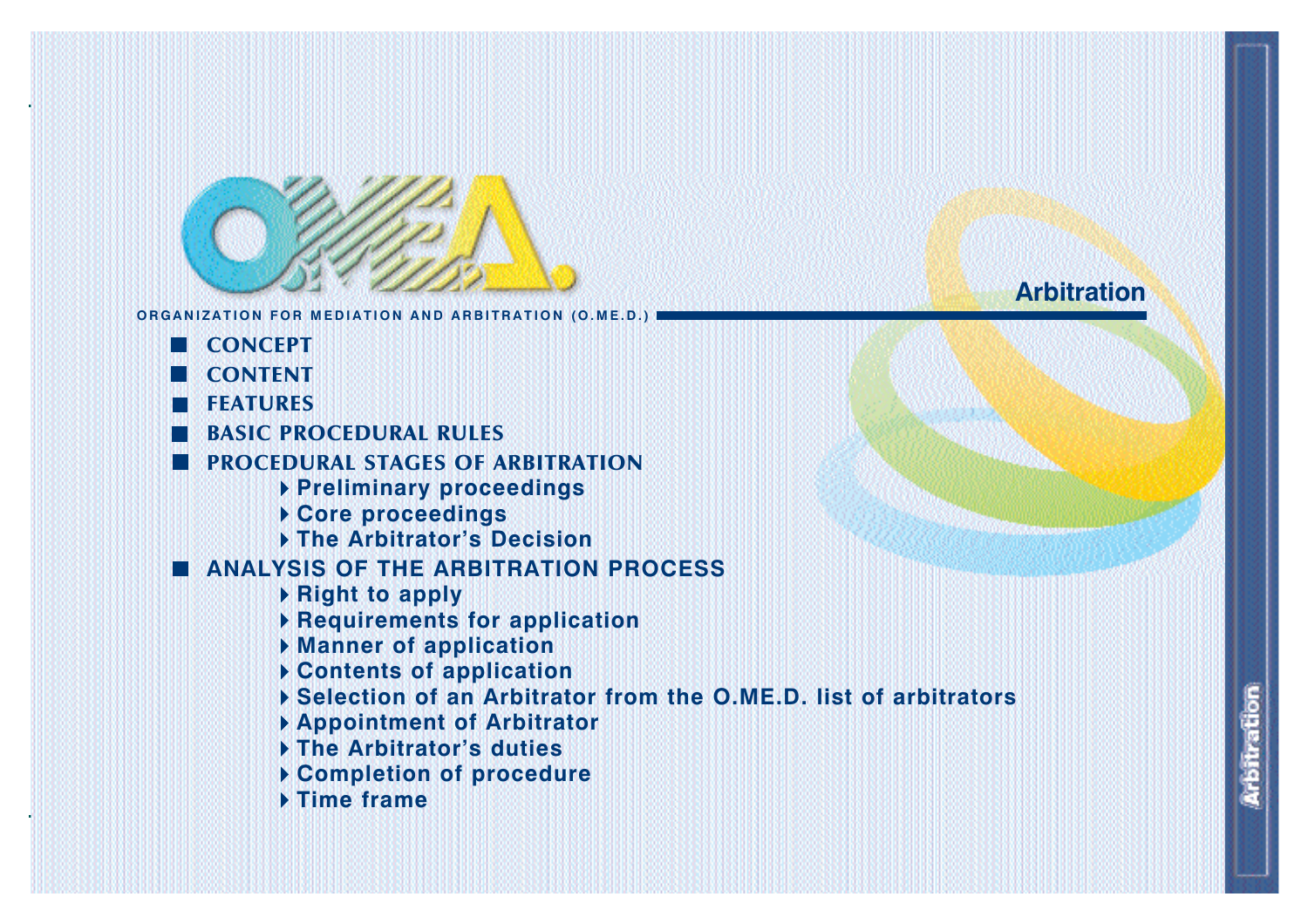

- **CONCEPT**
- **CONTENT**
- **FEATURES**
- **BASIC PROCEDURAL RULES**
- **PROCEDURAL STAGES OF ARBITRATION**
	- **Preliminary proceedings**
	- **Core proceedings**
	- **The Arbitrator's Decision**
- **ANALYSIS OF THE ARBITRATION PROCESS**
	- **Right to apply**
	- **Requirements for application**
	- **Manner of application**
	- **Contents of application**
	- **Selection of an Arbitrator from the O.ME.D. list of arbitrators**
	- **Appointment of Arbitrator**
	- **The Arbitrator's duties**
	- **Completion of procedure**
	- **Time frame**

# **Arbitration**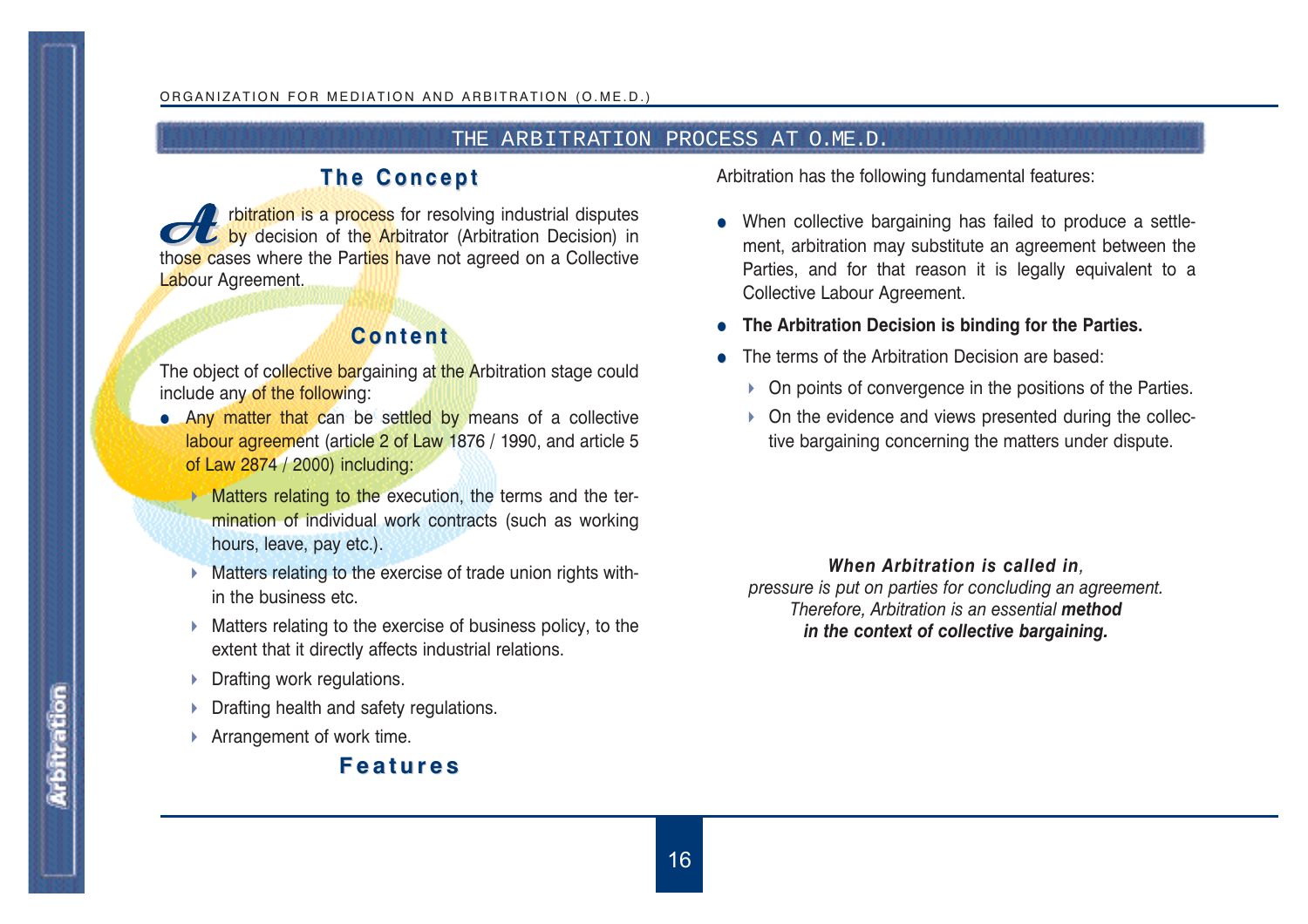## THE ARBITRATION PROCESS AT O.ME.D.

# **The Concept The Concept**

**Algeburgion is a process for resolving industrial disputes** by decision of the **Ar**bitrator (Arbitration Decision) in those cases where the Parties have not agreed on a Collective Labour Agreement.

# **Content Content**

The object of collective bargaining at the Arbitration stage could include any of the following:

- Any matter that can be settled by means of a collective labour agreement (article 2 of Law 1876 / 1990, and article 5 of Law 2874 / 2000) including:
	- $\blacktriangleright$  Matters relating to the execution, the terms and the termination of individual work contracts (such as working hours, leave, pay etc.).
	- **Matters relating to the exercise of trade union rights with**in the business etc.
	- $\triangleright$  Matters relating to the exercise of business policy, to the extent that it directly affects industrial relations.
	- **Drafting work regulations.**
	- **Drafting health and safety regulations.**
	- ▶ Arrangement of work time.

# **Features Features**

Arbitration has the following fundamental features:

- When collective bargaining has failed to produce a settlement, arbitration may substitute an agreement between the Parties, and for that reason it is legally equivalent to a Collective Labour Agreement.
- **The Arbitration Decision is binding for the Parties.**
- The terms of the Arbitration Decision are based:
	- ▶ On points of convergence in the positions of the Parties.
	- ▶ On the evidence and views presented during the collective bargaining concerning the matters under dispute.

### *When Arbitration is called in,*

*pressure is put on parties for concluding an agreement. Therefore, Arbitration is an essential method in the context of collective bargaining.*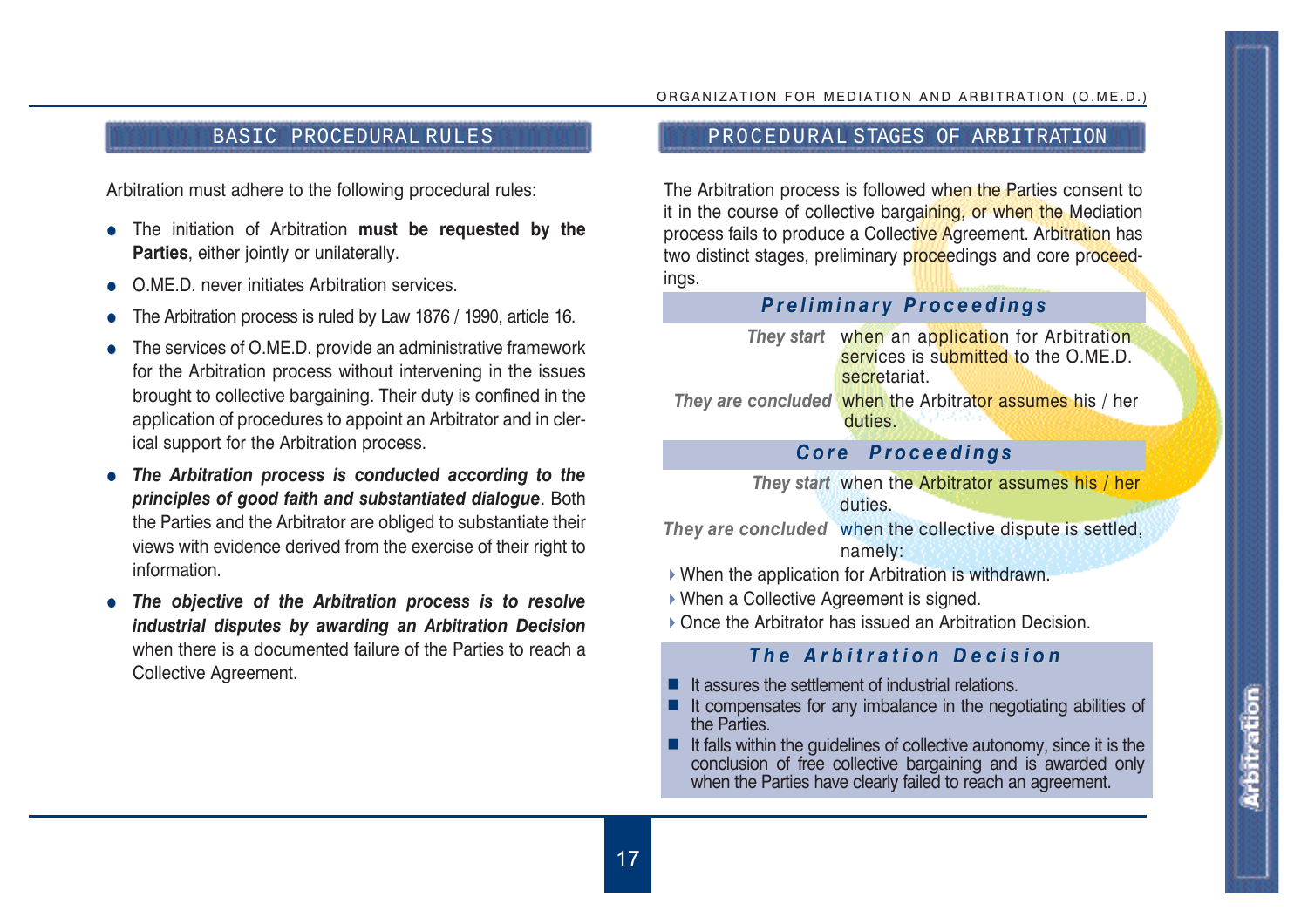Arbitration must adhere to the following procedural rules:

- **•** The initiation of Arbitration must be requested by the **Parties**, either jointly or unilaterally.
- O.ME.D. never initiates Arbitration services.
- The Arbitration process is ruled by Law 1876 / 1990, article 16.
- The services of O.ME.D. provide an administrative framework for the Arbitration process without intervening in the issues brought to collective bargaining. Their duty is confined in the application of procedures to appoint an Arbitrator and in clerical support for the Arbitration process.
- The Arbitration process is conducted according to the *principles of good faith and substantiated dialogue*. Both the Parties and the Arbitrator are obliged to substantiate their views with evidence derived from the exercise of their right to information.
- The objective of the Arbitration process is to resolve *industrial disputes by awarding an Arbitration Decision* when there is a documented failure of the Parties to reach a Collective Agreement.

# BASIC PROCEDURAL RULES AND RESOLUTION PROCEDURAL STAGES OF ARBITRATION

The Arbitration process is followed when the Parties consent to it in the course of collective bargaining, or when the Mediation process fails to produce a Collective Agreement. Arbitration has two distinct stages, preliminary proceedings and core proceedings.

# *Preliminary Proceedings Preliminary Proceedings*

**They start** when an application for Arbitration services is submitted to the O.ME.D. secretariat. *They are concluded* when the Arbitrator assumes his / her duties.

# *Core Proceedings Core Proceedings*

*They start* when the Arbitrator assumes his / her duties.

*They are concluded* when the collective dispute is settled, namely:

- When the application for Arbitration is withdrawn.
- When a Collective Agreement is signed.
- ▶ Once the Arbitrator has issued an Arbitration Decision.

# *The Arbitration Decision The Arbitration Decision*

- $\blacksquare$  It assures the settlement of industrial relations.
- $\blacksquare$  It compensates for any imbalance in the negotiating abilities of the Parties.
- $\blacksquare$  It falls within the guidelines of collective autonomy, since it is the conclusion of free collective bargaining and is awarded only when the Parties have clearly failed to reach an agreement.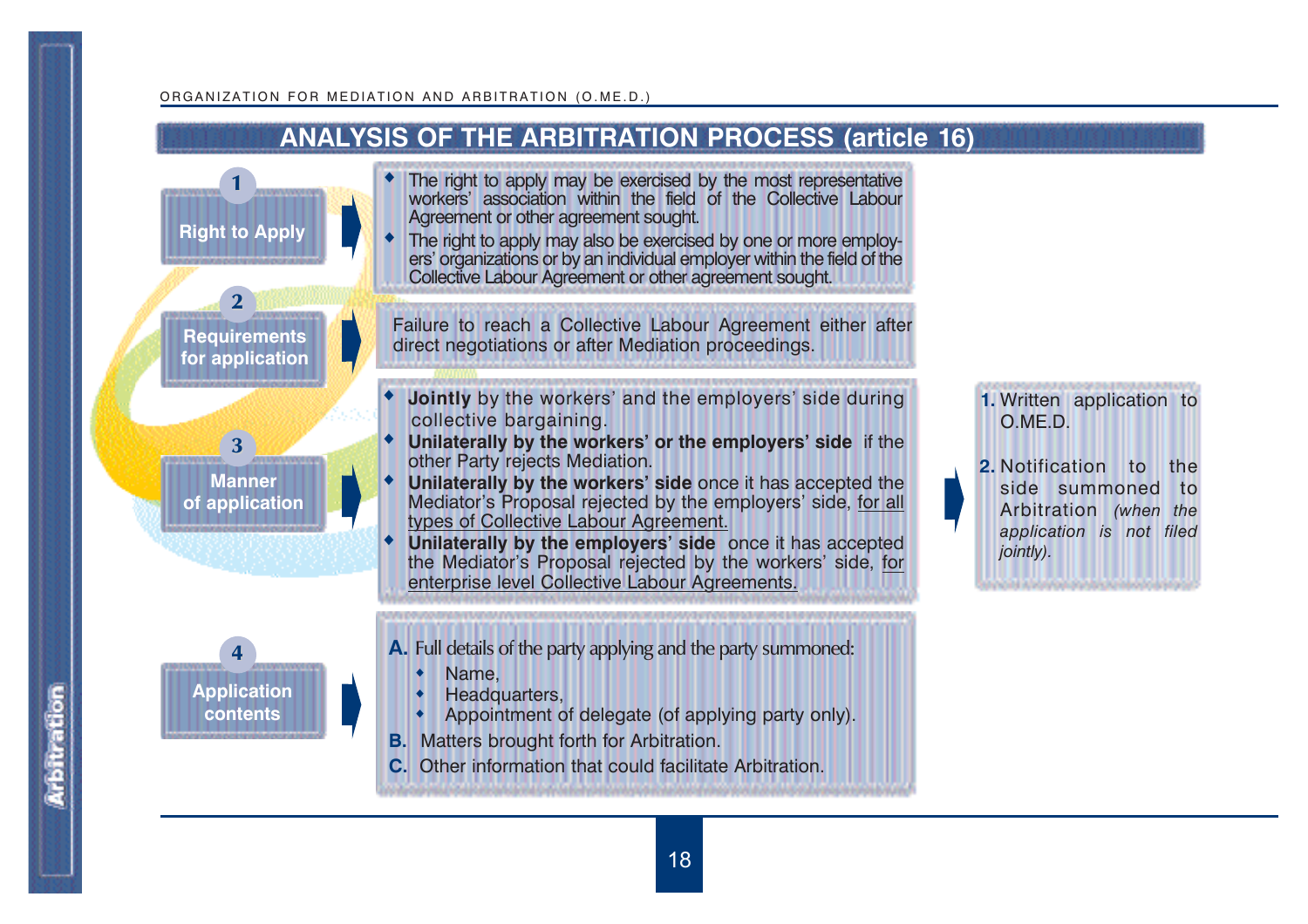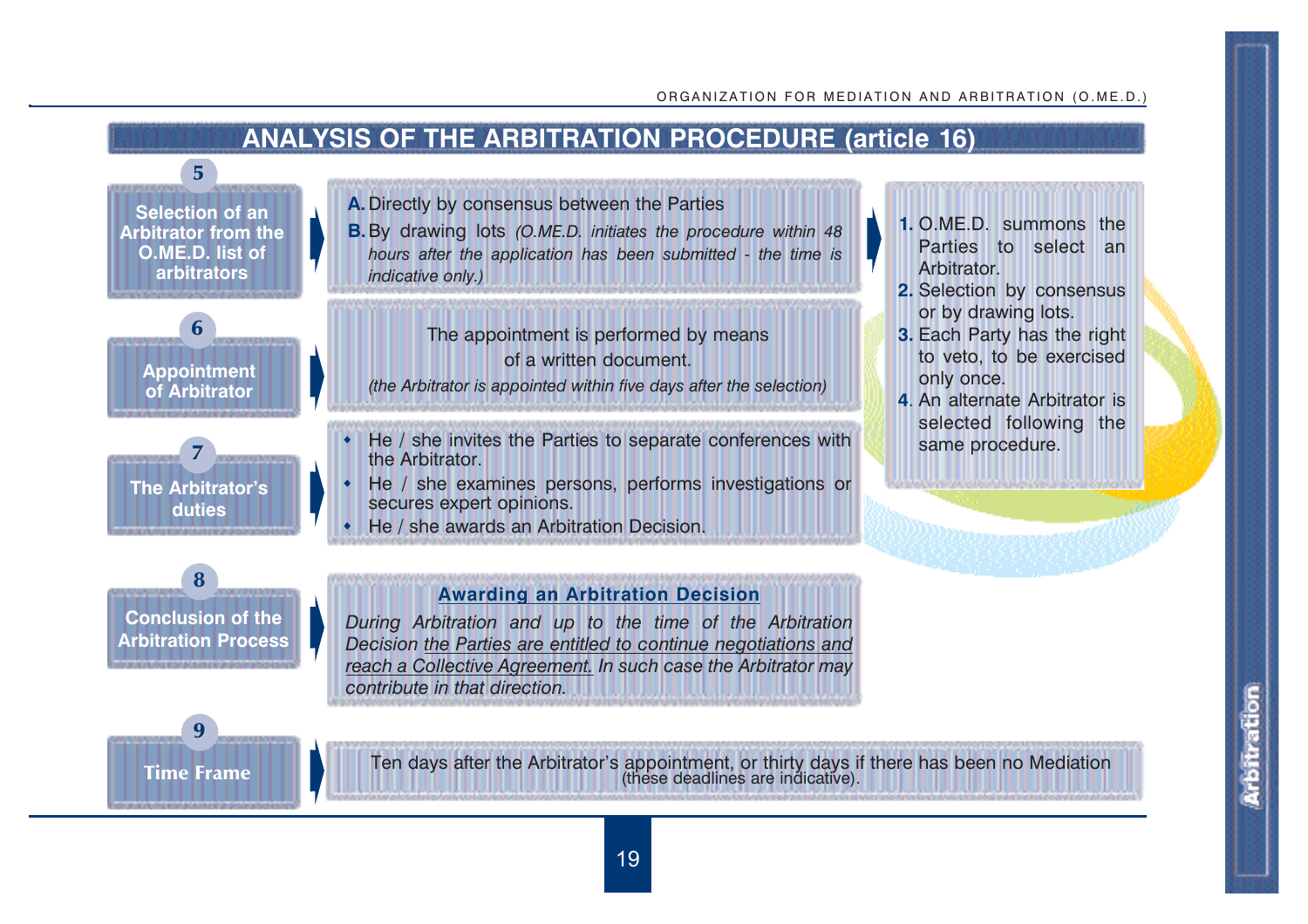